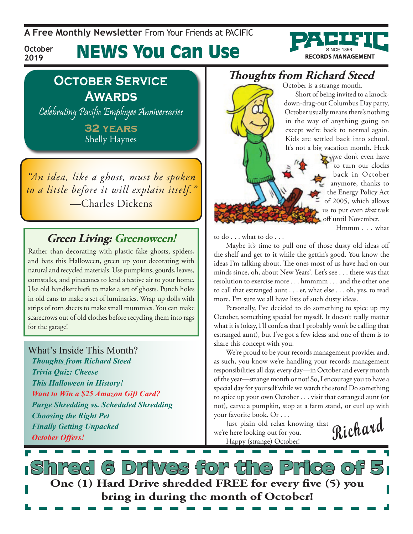**A Free Monthly Newsletter** From Your Friends at Pacific



**October 2019**

# News You Can Use

### **October Service Awards**

Celebrating Pacific Employee Anniversaries

**32 years** Shelly Haynes

*"An idea, like a ghost, must be spoken to a little before it will explain itself."*  —Charles Dickens

#### **Green Living: Greenoween!**

Rather than decorating with plastic fake ghosts, spiders, and bats this Halloween, green up your decorating with natural and recycled materials. Use pumpkins, gourds, leaves, cornstalks, and pinecones to lend a festive air to your home. Use old handkerchiefs to make a set of ghosts. Punch holes in old cans to make a set of luminaries. Wrap up dolls with strips of torn sheets to make small mummies. You can make scarecrows out of old clothes before recycling them into rags for the garage!

What's Inside This Month? *Thoughts from Richard Steed Trivia Quiz: Cheese This Halloween in History! Want to Win a \$25 Amazon Gift Card? Purge Shredding vs. Scheduled Shredding Choosing the Right Pet Finally Getting Unpacked October Offers!*

### **Thoughts from Richard Steed**

October is a strange month.

Short of being invited to a knockdown-drag-out Columbus Day party, October usually means there's nothing in the way of anything going on except we're back to normal again. Kids are settled back into school. It's not a big vacation month. Heck

> we don't even have to turn our clocks back in October anymore, thanks to the Energy Policy Act of 2005, which allows us to put even *that* task off until November.

> > Hmmm . . . what

to do . . . what to do . . .

Maybe it's time to pull one of those dusty old ideas off the shelf and get to it while the gettin's good. You know the ideas I'm talking about. The ones most of us have had on our minds since, oh, about New Years'. Let's see . . . there was that resolution to exercise more . . . hmmmm . . . and the other one to call that estranged aunt . . . er, what else . . . oh, yes, to read more. I'm sure we all have lists of such dusty ideas.

Personally, I've decided to do something to spice up my October, something special for myself. It doesn't really matter what it is (okay, I'll confess that I probably won't be calling that estranged aunt), but I've got a few ideas and one of them is to share this concept with you.

We're proud to be your records management provider and, as such, you know we're handling your records management responsibilities all day, every day—in October and every month of the year—strange month or not! So, I encourage you to have a special day for yourself while we watch the store! Do something to spice up your own October . . . visit that estranged aunt (or not), carve a pumpkin, stop at a farm stand, or curl up with your favorite book. Or . . .

Just plain old relax knowing that we're here looking out for you. Happy (strange) October!



Shred 6 Drives for the Price of 5 **One (1) Hard Drive shredded FREE for every five (5) you bring in during the month of October!**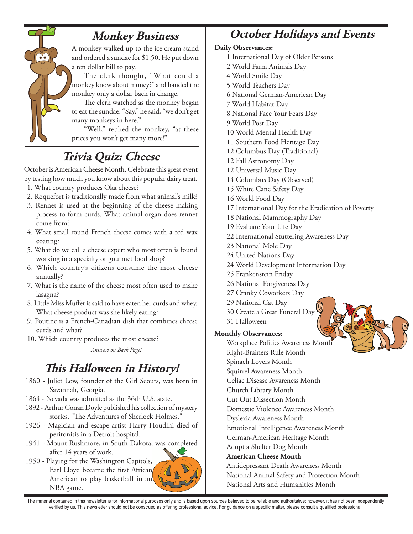

#### **Monkey Business**

A monkey walked up to the ice cream stand and ordered a sundae for \$1.50. He put down a ten dollar bill to pay.

The clerk thought, "What could a monkey know about money?" and handed the monkey only a dollar back in change.

The clerk watched as the monkey began to eat the sundae. "Say," he said, "we don't get many monkeys in here."

"Well," replied the monkey, "at these prices you won't get many more!"

## **Trivia Quiz: Cheese**

October is American Cheese Month. Celebrate this great event by testing how much you know about this popular dairy treat.

- 1. What country produces Oka cheese?
- 2. Roquefort is traditionally made from what animal's milk?
- 3. Rennet is used at the beginning of the cheese making process to form curds. What animal organ does rennet come from?
- 4. What small round French cheese comes with a red wax coating?
- 5. What do we call a cheese expert who most often is found working in a specialty or gourmet food shop?
- 6. Which country's citizens consume the most cheese annually?
- 7. What is the name of the cheese most often used to make lasagna?
- 8. Little Miss Muffet is said to have eaten her curds and whey. What cheese product was she likely eating?
- 9. Poutine is a French-Canadian dish that combines cheese curds and what?
- 10. Which country produces the most cheese?

*Answers on Back Page!*

### **This Halloween in History!**

- 1860 Juliet Low, founder of the Girl Scouts, was born in Savannah, Georgia.
- 1864 Nevada was admitted as the 36th U.S. state.
- 1892 Arthur Conan Doyle published his collection of mystery stories, "The Adventures of Sherlock Holmes."
- 1926 Magician and escape artist Harry Houdini died of peritonitis in a Detroit hospital.
- 1941 Mount Rushmore, in South Dakota, was completed after 14 years of work.
- 1950 Playing for the Washington Capitols, Earl Lloyd became the first African American to play basketball in an NBA game.

## **October Holidays and Events**

#### **Daily Observances:**

- 1 International Day of Older Persons
- 2 World Farm Animals Day
- 4 World Smile Day
- 5 World Teachers Day
- 6 National German-American Day
- 7 World Habitat Day
- 8 National Face Your Fears Day
- 9 World Post Day
- 10 World Mental Health Day
- 11 Southern Food Heritage Day
- 12 Columbus Day (Traditional)
- 12 Fall Astronomy Day
- 12 Universal Music Day
- 14 Columbus Day (Observed)
- 15 White Cane Safety Day
- 16 World Food Day
- 17 International Day for the Eradication of Poverty
- 18 National Mammography Day
- 19 Evaluate Your Life Day
- 22 International Stuttering Awareness Day
- 23 National Mole Day
- 24 United Nations Day
- 24 World Development Information Day
- 25 Frankenstein Friday
- 26 National Forgiveness Day
- 27 Cranky Coworkers Day
- 29 National Cat Day
- 30 Create a Great Funeral Day
- 31 Halloween

#### **Monthly Observances:**

Workplace Politics Awareness Month Right-Brainers Rule Month Spinach Lovers Month Squirrel Awareness Month Celiac Disease Awareness Month Church Library Month Cut Out Dissection Month Domestic Violence Awareness Month Dyslexia Awareness Month Emotional Intelligence Awareness Month German-American Heritage Month Adopt a Shelter Dog Month **American Cheese Month** Antidepressant Death Awareness Month

National Animal Safety and Protection Month National Arts and Humanities Month

The material contained in this newsletter is for informational purposes only and is based upon sources believed to be reliable and authoritative; however, it has not been independently verified by us. This newsletter should not be construed as offering professional advice. For guidance on a specific matter, please consult a qualified professional.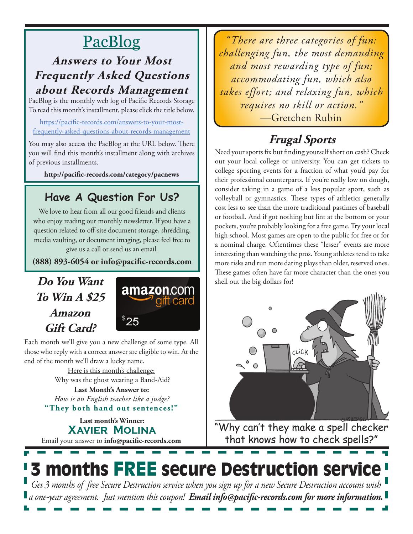# PacBlog

### **Answers to Your Most Frequently Asked Questions about Records Management**

PacBlog is the monthly web log of Pacific Records Storage To read this month's installment, please click the title below.

[https://pacific-records.com/answers-to-your-most](https://pacific-records.com/answers-to-your-most-frequently-asked-questions-about-records-management)[frequently-asked-questions-about-records-management](https://pacific-records.com/answers-to-your-most-frequently-asked-questions-about-records-management)

You may also access the PacBlog at the URL below. There you will find this month's installment along with archives of previous installments.

**http://pacific-records.com/category/pacnews**

## **Have A Question For Us?**

We love to hear from all our good friends and clients who enjoy reading our monthly newsletter. If you have a question related to off-site document storage, shredding, media vaulting, or document imaging, please feel free to give us a call or send us an email.

**(888) 893-6054 or info@pacific-records.com**

### **Do You Want To Win A \$25 Amazon Gift Card?**



Each month we'll give you a new challenge of some type. All those who reply with a correct answer are eligible to win. At the end of the month we'll draw a lucky name.

> Here is this month's challenge: Why was the ghost wearing a Band-Aid?

**"They both hand out sentences!" Last Month's Answer to:**  *How is an English teacher like a judge?*

Email your answer to **info@pacific-records.com Last month's Winner: Xavier Molina**

*"There are three categories of fun: challenging fun, the most demanding and most rewarding type of fun; accommodating fun, which also takes effort; and relaxing fun, which requires no skill or action."*  —Gretchen Rubin

## **Frugal Sports**

Need your sports fix but finding yourself short on cash? Check out your local college or university. You can get tickets to college sporting events for a fraction of what you'd pay for their professional counterparts. If you're really low on dough, consider taking in a game of a less popular sport, such as volleyball or gymnastics. These types of athletics generally cost less to see than the more traditional pastimes of baseball or football. And if got nothing but lint at the bottom or your pockets, you're probably looking for a free game. Try your local high school. Most games are open to the public for free or for a nominal charge. Oftentimes these "lesser" events are more interesting than watching the pros. Young athletes tend to take more risks and run more daring plays than older, reserved ones. These games often have far more character than the ones you shell out the big dollars for!



"Why can't they make a spell checker that knows how to check spells?"

## **3 months FREE secure Destruction services** *Get 3 months of free Secure Destruction service when you sign up for a new Secure Destruction account with a one-year agreement. Just mention this coupon! Email info@pacific-records.com for more information.*